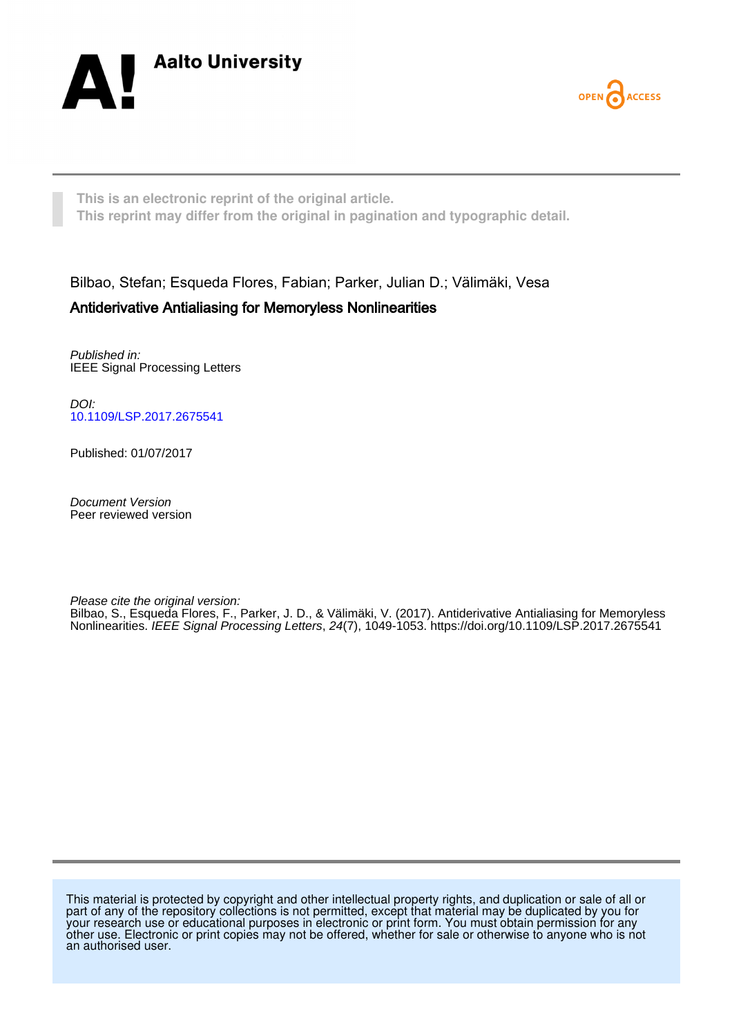



**This is an electronic reprint of the original article. This reprint may differ from the original in pagination and typographic detail.**

Bilbao, Stefan; Esqueda Flores, Fabian; Parker, Julian D.; Välimäki, Vesa Antiderivative Antialiasing for Memoryless Nonlinearities

Published in: IEEE Signal Processing Letters

DOI: [10.1109/LSP.2017.2675541](https://doi.org/10.1109/LSP.2017.2675541)

Published: 01/07/2017

Document Version Peer reviewed version

Please cite the original version:

Bilbao, S., Esqueda Flores, F., Parker, J. D., & Välimäki, V. (2017). Antiderivative Antialiasing for Memoryless Nonlinearities. IEEE Signal Processing Letters, 24(7), 1049-1053. <https://doi.org/10.1109/LSP.2017.2675541>

This material is protected by copyright and other intellectual property rights, and duplication or sale of all or part of any of the repository collections is not permitted, except that material may be duplicated by you for your research use or educational purposes in electronic or print form. You must obtain permission for any other use. Electronic or print copies may not be offered, whether for sale or otherwise to anyone who is not an authorised user.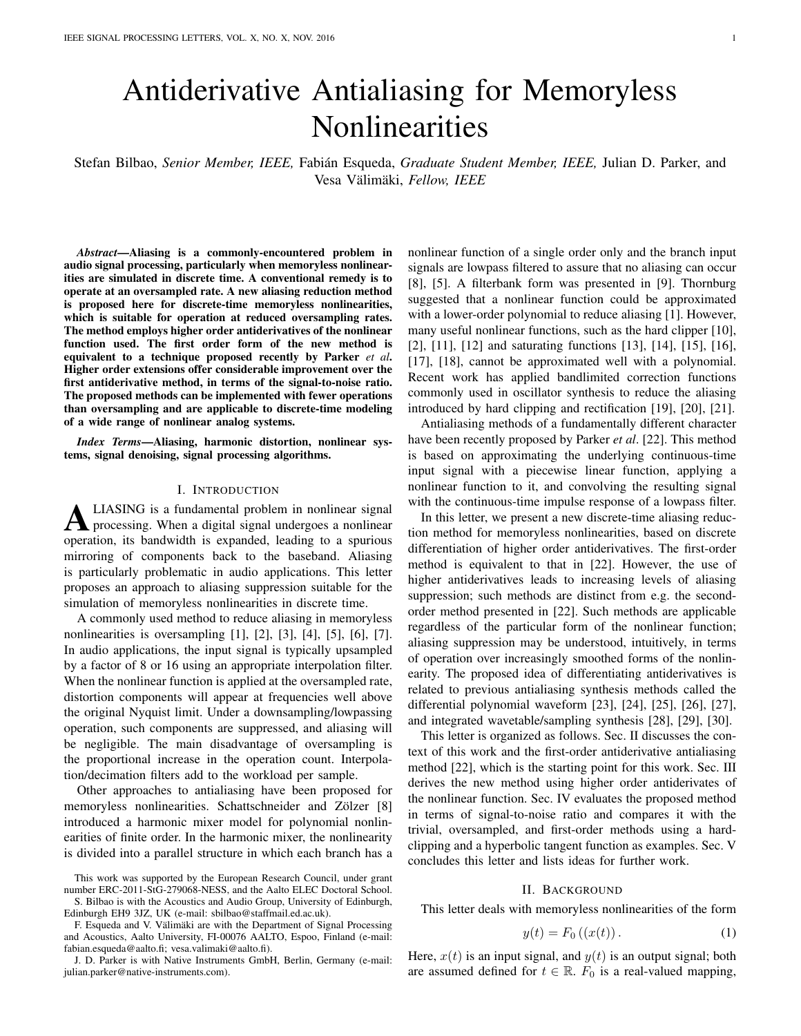# Antiderivative Antialiasing for Memoryless Nonlinearities

Stefan Bilbao, *Senior Member, IEEE*, Fabián Esqueda, *Graduate Student Member, IEEE*, Julian D. Parker, and Vesa Välimäki, Fellow, IEEE

*Abstract*—Aliasing is a commonly-encountered problem in audio signal processing, particularly when memoryless nonlinearities are simulated in discrete time. A conventional remedy is to operate at an oversampled rate. A new aliasing reduction method is proposed here for discrete-time memoryless nonlinearities, which is suitable for operation at reduced oversampling rates. The method employs higher order antiderivatives of the nonlinear function used. The first order form of the new method is equivalent to a technique proposed recently by Parker *et al*. Higher order extensions offer considerable improvement over the first antiderivative method, in terms of the signal-to-noise ratio. The proposed methods can be implemented with fewer operations than oversampling and are applicable to discrete-time modeling of a wide range of nonlinear analog systems.

*Index Terms*—Aliasing, harmonic distortion, nonlinear systems, signal denoising, signal processing algorithms.

## I. INTRODUCTION

**A** LIASING is a fundamental problem in nonlinear signal processing. When a digital signal undergoes a nonlinear operation, its bandwidth is expanded, leading to a spurious LIASING is a fundamental problem in nonlinear signal processing. When a digital signal undergoes a nonlinear mirroring of components back to the baseband. Aliasing is particularly problematic in audio applications. This letter proposes an approach to aliasing suppression suitable for the simulation of memoryless nonlinearities in discrete time.

A commonly used method to reduce aliasing in memoryless nonlinearities is oversampling [1], [2], [3], [4], [5], [6], [7]. In audio applications, the input signal is typically upsampled by a factor of 8 or 16 using an appropriate interpolation filter. When the nonlinear function is applied at the oversampled rate, distortion components will appear at frequencies well above the original Nyquist limit. Under a downsampling/lowpassing operation, such components are suppressed, and aliasing will be negligible. The main disadvantage of oversampling is the proportional increase in the operation count. Interpolation/decimation filters add to the workload per sample.

Other approaches to antialiasing have been proposed for memoryless nonlinearities. Schattschneider and Zölzer [8] introduced a harmonic mixer model for polynomial nonlinearities of finite order. In the harmonic mixer, the nonlinearity is divided into a parallel structure in which each branch has a

Edinburgh EH9 3JZ, UK (e-mail: sbilbao@staffmail.ed.ac.uk).

J. D. Parker is with Native Instruments GmbH, Berlin, Germany (e-mail: julian.parker@native-instruments.com).

nonlinear function of a single order only and the branch input signals are lowpass filtered to assure that no aliasing can occur [8], [5]. A filterbank form was presented in [9]. Thornburg suggested that a nonlinear function could be approximated with a lower-order polynomial to reduce aliasing [1]. However, many useful nonlinear functions, such as the hard clipper [10], [2], [11], [12] and saturating functions [13], [14], [15], [16], [17], [18], cannot be approximated well with a polynomial. Recent work has applied bandlimited correction functions commonly used in oscillator synthesis to reduce the aliasing introduced by hard clipping and rectification [19], [20], [21].

Antialiasing methods of a fundamentally different character have been recently proposed by Parker *et al*. [22]. This method is based on approximating the underlying continuous-time input signal with a piecewise linear function, applying a nonlinear function to it, and convolving the resulting signal with the continuous-time impulse response of a lowpass filter.

In this letter, we present a new discrete-time aliasing reduction method for memoryless nonlinearities, based on discrete differentiation of higher order antiderivatives. The first-order method is equivalent to that in [22]. However, the use of higher antiderivatives leads to increasing levels of aliasing suppression; such methods are distinct from e.g. the secondorder method presented in [22]. Such methods are applicable regardless of the particular form of the nonlinear function; aliasing suppression may be understood, intuitively, in terms of operation over increasingly smoothed forms of the nonlinearity. The proposed idea of differentiating antiderivatives is related to previous antialiasing synthesis methods called the differential polynomial waveform [23], [24], [25], [26], [27], and integrated wavetable/sampling synthesis [28], [29], [30].

This letter is organized as follows. Sec. II discusses the context of this work and the first-order antiderivative antialiasing method [22], which is the starting point for this work. Sec. III derives the new method using higher order antiderivates of the nonlinear function. Sec. IV evaluates the proposed method in terms of signal-to-noise ratio and compares it with the trivial, oversampled, and first-order methods using a hardclipping and a hyperbolic tangent function as examples. Sec. V concludes this letter and lists ideas for further work.

## II. BACKGROUND

This letter deals with memoryless nonlinearities of the form

$$
y(t) = F_0\left(\left(x(t)\right)\right). \tag{1}
$$

Here,  $x(t)$  is an input signal, and  $y(t)$  is an output signal; both are assumed defined for  $t \in \mathbb{R}$ .  $F_0$  is a real-valued mapping,

This work was supported by the European Research Council, under grant number ERC-2011-StG-279068-NESS, and the Aalto ELEC Doctoral School. S. Bilbao is with the Acoustics and Audio Group, University of Edinburgh,

F. Esqueda and V. Välimäki are with the Department of Signal Processing and Acoustics, Aalto University, FI-00076 AALTO, Espoo, Finland (e-mail: fabian.esqueda@aalto.fi; vesa.valimaki@aalto.fi).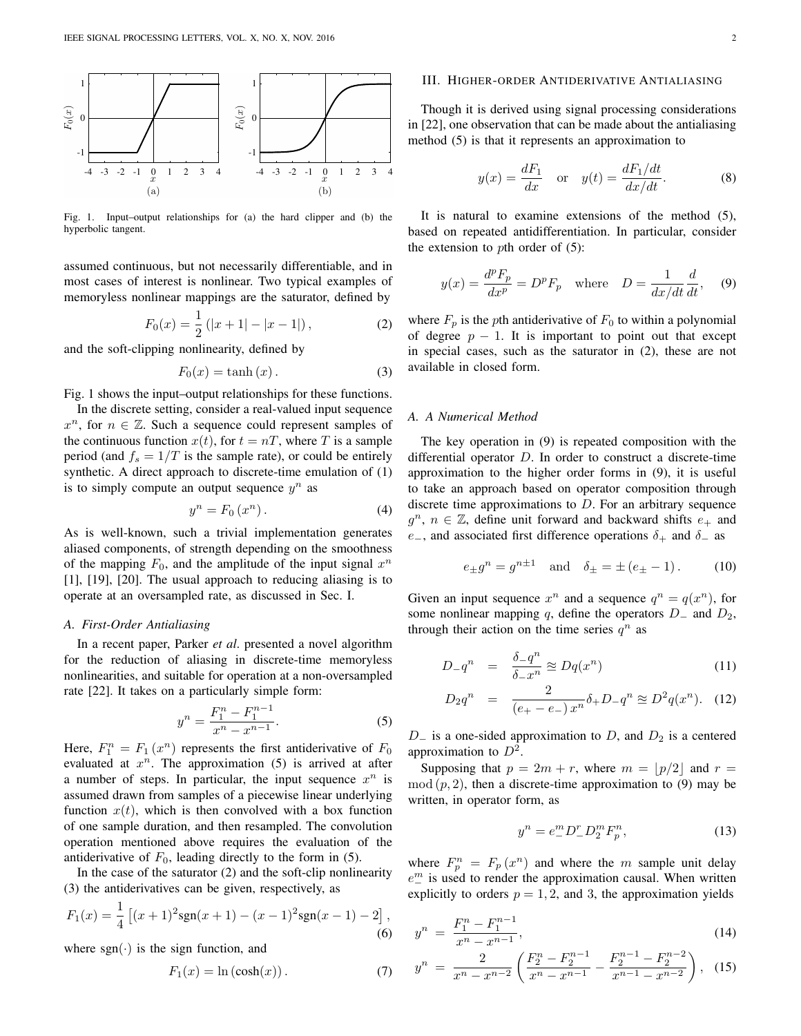

Fig. 1. Input–output relationships for (a) the hard clipper and (b) the hyperbolic tangent.

assumed continuous, but not necessarily differentiable, and in most cases of interest is nonlinear. Two typical examples of memoryless nonlinear mappings are the saturator, defined by

$$
F_0(x) = \frac{1}{2} (|x+1| - |x-1|), \tag{2}
$$

and the soft-clipping nonlinearity, defined by

$$
F_0(x) = \tanh(x). \tag{3}
$$

Fig. 1 shows the input–output relationships for these functions.

In the discrete setting, consider a real-valued input sequence  $x^n$ , for  $n \in \mathbb{Z}$ . Such a sequence could represent samples of the continuous function  $x(t)$ , for  $t = nT$ , where T is a sample period (and  $f_s = 1/T$  is the sample rate), or could be entirely synthetic. A direct approach to discrete-time emulation of (1) is to simply compute an output sequence  $y^n$  as

$$
y^{n} = F_0(x^{n}). \tag{4}
$$

As is well-known, such a trivial implementation generates aliased components, of strength depending on the smoothness of the mapping  $F_0$ , and the amplitude of the input signal  $x^n$ [1], [19], [20]. The usual approach to reducing aliasing is to operate at an oversampled rate, as discussed in Sec. I.

# *A. First-Order Antialiasing*

In a recent paper, Parker *et al*. presented a novel algorithm for the reduction of aliasing in discrete-time memoryless nonlinearities, and suitable for operation at a non-oversampled rate [22]. It takes on a particularly simple form:

$$
y^n = \frac{F_1^n - F_1^{n-1}}{x^n - x^{n-1}}.\tag{5}
$$

Here,  $F_1^n = F_1(x^n)$  represents the first antiderivative of  $F_0$ evaluated at  $x^n$ . The approximation (5) is arrived at after a number of steps. In particular, the input sequence  $x^n$  is assumed drawn from samples of a piecewise linear underlying function  $x(t)$ , which is then convolved with a box function of one sample duration, and then resampled. The convolution operation mentioned above requires the evaluation of the antiderivative of  $F_0$ , leading directly to the form in (5).

In the case of the saturator (2) and the soft-clip nonlinearity (3) the antiderivatives can be given, respectively, as

$$
F_1(x) = \frac{1}{4} \left[ (x+1)^2 \text{sgn}(x+1) - (x-1)^2 \text{sgn}(x-1) - 2 \right],\tag{6}
$$

where  $sgn(\cdot)$  is the sign function, and

$$
F_1(x) = \ln(\cosh(x)).\tag{7}
$$

# III. HIGHER-ORDER ANTIDERIVATIVE ANTIALIASING

Though it is derived using signal processing considerations in [22], one observation that can be made about the antialiasing method (5) is that it represents an approximation to

$$
y(x) = \frac{dF_1}{dx} \quad \text{or} \quad y(t) = \frac{dF_1/dt}{dx/dt}.\tag{8}
$$

It is natural to examine extensions of the method (5), based on repeated antidifferentiation. In particular, consider the extension to *p*th order of  $(5)$ :

$$
y(x) = \frac{d^p F_p}{dx^p} = D^p F_p \quad \text{where} \quad D = \frac{1}{dx/dt} \frac{d}{dt}, \quad (9)
$$

where  $F_p$  is the pth antiderivative of  $F_0$  to within a polynomial of degree  $p - 1$ . It is important to point out that except in special cases, such as the saturator in (2), these are not available in closed form.

# *A. A Numerical Method*

The key operation in (9) is repeated composition with the differential operator  $D$ . In order to construct a discrete-time approximation to the higher order forms in (9), it is useful to take an approach based on operator composition through discrete time approximations to  $D$ . For an arbitrary sequence  $g^n$ ,  $n \in \mathbb{Z}$ , define unit forward and backward shifts  $e_+$  and e<sub>−</sub>, and associated first difference operations  $\delta_+$  and  $\delta_-$  as

$$
e_{\pm}g^{n} = g^{n\pm 1}
$$
 and  $\delta_{\pm} = \pm (e_{\pm} - 1)$ . (10)

Given an input sequence  $x^n$  and a sequence  $q^n = q(x^n)$ , for some nonlinear mapping q, define the operators  $D_-\,$  and  $D_2$ , through their action on the time series  $q^n$  as

$$
D_{-}q^{n} = \frac{\delta_{-}q^{n}}{\delta_{-}x^{n}} \approx Dq(x^{n})
$$
\n(11)

$$
D_2 q^n = \frac{2}{(e_+ - e_-) x^n} \delta_+ D_- q^n \approx D^2 q(x^n). \quad (12)
$$

 $D_$  is a one-sided approximation to D, and  $D_2$  is a centered approximation to  $D^2$ .

Supposing that  $p = 2m + r$ , where  $m = |p/2|$  and  $r =$  $mod (p, 2)$ , then a discrete-time approximation to (9) may be written, in operator form, as

$$
y^n = e_-^m D_-^r D_2^m F_p^n,\tag{13}
$$

where  $F_p^n = F_p(x^n)$  and where the m sample unit delay  $e^m$  is used to render the approximation causal. When written explicitly to orders  $p = 1, 2$ , and 3, the approximation yields

$$
y^n = \frac{F_1^n - F_1^{n-1}}{x^n - x^{n-1}},\tag{14}
$$

$$
y^{n} = \frac{2}{x^{n} - x^{n-2}} \left( \frac{F_{2}^{n} - F_{2}^{n-1}}{x^{n} - x^{n-1}} - \frac{F_{2}^{n-1} - F_{2}^{n-2}}{x^{n-1} - x^{n-2}} \right), \quad (15)
$$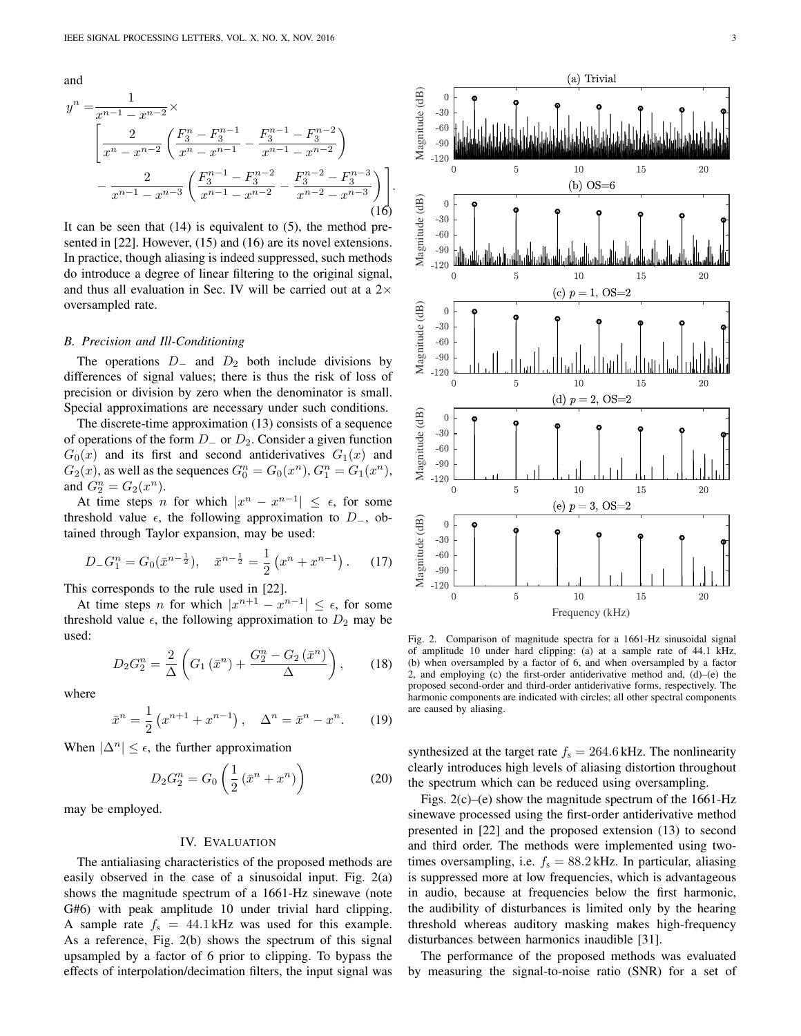and

$$
y^{n} = \frac{1}{x^{n-1} - x^{n-2}} \times
$$
  
\n
$$
\left[ \frac{2}{x^{n} - x^{n-2}} \left( \frac{F_{3}^{n} - F_{3}^{n-1}}{x^{n} - x^{n-1}} - \frac{F_{3}^{n-1} - F_{3}^{n-2}}{x^{n-1} - x^{n-2}} \right) - \frac{2}{x^{n-1} - x^{n-3}} \left( \frac{F_{3}^{n-1} - F_{3}^{n-2}}{x^{n-1} - x^{n-2}} - \frac{F_{3}^{n-2} - F_{3}^{n-3}}{x^{n-2} - x^{n-3}} \right) \right]
$$
  
\n(16)

It can be seen that  $(14)$  is equivalent to  $(5)$ , the method presented in [22]. However, (15) and (16) are its novel extensions. In practice, though aliasing is indeed suppressed, such methods do introduce a degree of linear filtering to the original signal, and thus all evaluation in Sec. IV will be carried out at a  $2\times$ oversampled rate.

#### *B. Precision and Ill-Conditioning*

The operations  $D_$  and  $D_2$  both include divisions by differences of signal values; there is thus the risk of loss of precision or division by zero when the denominator is small. Special approximations are necessary under such conditions.

The discrete-time approximation (13) consists of a sequence of operations of the form  $D_$  or  $D_2$ . Consider a given function  $G_0(x)$  and its first and second antiderivatives  $G_1(x)$  and  $G_2(x)$ , as well as the sequences  $G_0^n = G_0(x^n)$ ,  $G_1^n = G_1(x^n)$ , and  $G_2^n = G_2(x^n)$ .

At time steps *n* for which  $|x^n - x^{n-1}| \leq \epsilon$ , for some threshold value  $\epsilon$ , the following approximation to  $D_$ , obtained through Taylor expansion, may be used:

$$
D_{-}G_{1}^{n} = G_{0}(\bar{x}^{n-\frac{1}{2}}), \quad \bar{x}^{n-\frac{1}{2}} = \frac{1}{2}\left(x^{n} + x^{n-1}\right). \tag{17}
$$

This corresponds to the rule used in [22].

At time steps *n* for which  $|x^{n+1} - x^{n-1}| \leq \epsilon$ , for some threshold value  $\epsilon$ , the following approximation to  $D_2$  may be used:

$$
D_2 G_2^n = \frac{2}{\Delta} \left( G_1 \left( \bar{x}^n \right) + \frac{G_2^n - G_2 \left( \bar{x}^n \right)}{\Delta} \right), \quad (18)
$$

where

$$
\bar{x}^{n} = \frac{1}{2} \left( x^{n+1} + x^{n-1} \right), \quad \Delta^{n} = \bar{x}^{n} - x^{n}.
$$
 (19)

When  $|\Delta^n| \leq \epsilon$ , the further approximation

$$
D_2 G_2^n = G_0 \left(\frac{1}{2} \left(\bar{x}^n + x^n\right)\right) \tag{20}
$$

may be employed.

# IV. EVALUATION

The antialiasing characteristics of the proposed methods are easily observed in the case of a sinusoidal input. Fig. 2(a) shows the magnitude spectrum of a 1661-Hz sinewave (note G#6) with peak amplitude 10 under trivial hard clipping. A sample rate  $f_s = 44.1 \text{ kHz}$  was used for this example. As a reference, Fig. 2(b) shows the spectrum of this signal upsampled by a factor of 6 prior to clipping. To bypass the effects of interpolation/decimation filters, the input signal was



Fig. 2. Comparison of magnitude spectra for a 1661-Hz sinusoidal signal of amplitude 10 under hard clipping: (a) at a sample rate of 44.1 kHz, (b) when oversampled by a factor of 6, and when oversampled by a factor 2, and employing (c) the first-order antiderivative method and, (d)–(e) the proposed second-order and third-order antiderivative forms, respectively. The harmonic components are indicated with circles; all other spectral components are caused by aliasing.

synthesized at the target rate  $f_s = 264.6$  kHz. The nonlinearity clearly introduces high levels of aliasing distortion throughout the spectrum which can be reduced using oversampling.

Figs. 2(c)–(e) show the magnitude spectrum of the 1661-Hz sinewave processed using the first-order antiderivative method presented in [22] and the proposed extension (13) to second and third order. The methods were implemented using twotimes oversampling, i.e.  $f_s = 88.2 \text{ kHz}$ . In particular, aliasing is suppressed more at low frequencies, which is advantageous in audio, because at frequencies below the first harmonic, the audibility of disturbances is limited only by the hearing threshold whereas auditory masking makes high-frequency disturbances between harmonics inaudible [31].

The performance of the proposed methods was evaluated by measuring the signal-to-noise ratio (SNR) for a set of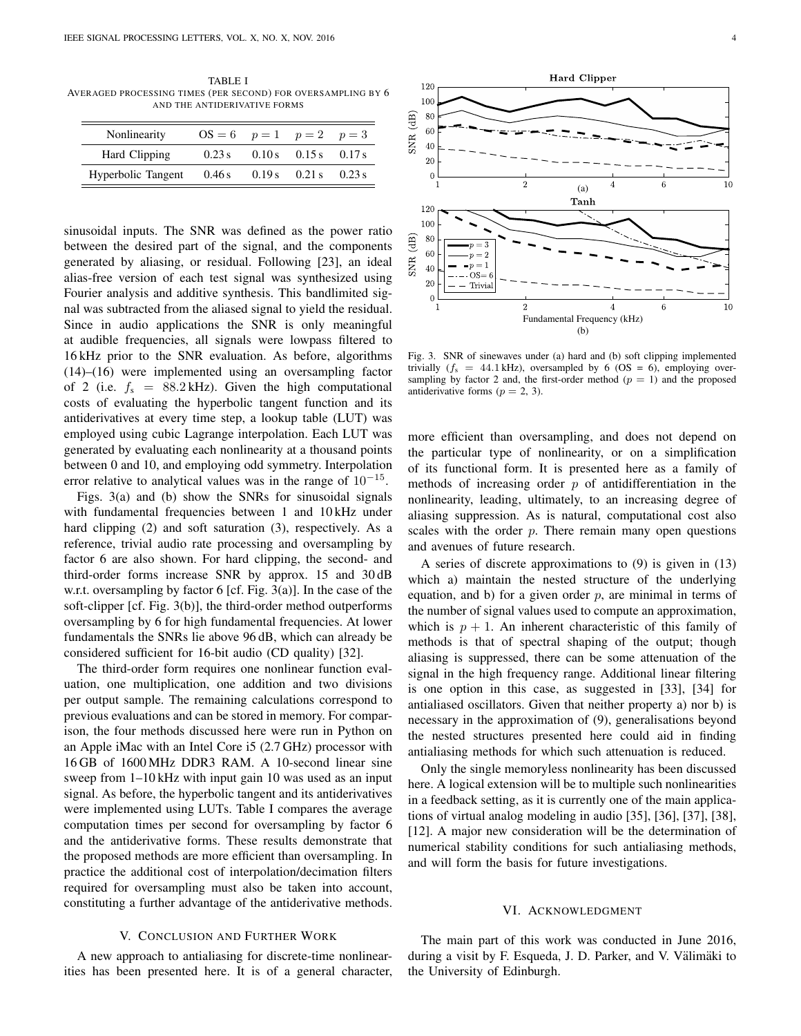TABLE I AVERAGED PROCESSING TIMES (PER SECOND) FOR OVERSAMPLING BY 6 AND THE ANTIDERIVATIVE FORMS

| Nonlinearity       | $OS = 6$ | $p=1$ $p=2$ |                   | $p=3$  |
|--------------------|----------|-------------|-------------------|--------|
| Hard Clipping      | 0.23 s   |             | $0.10 s$ $0.15 s$ | 0.17 s |
| Hyperbolic Tangent | 0.46s    | 0.19 s      | $0.21$ s          | 0.23 s |

sinusoidal inputs. The SNR was defined as the power ratio between the desired part of the signal, and the components generated by aliasing, or residual. Following [23], an ideal alias-free version of each test signal was synthesized using Fourier analysis and additive synthesis. This bandlimited signal was subtracted from the aliased signal to yield the residual. Since in audio applications the SNR is only meaningful at audible frequencies, all signals were lowpass filtered to 16 kHz prior to the SNR evaluation. As before, algorithms (14)–(16) were implemented using an oversampling factor of 2 (i.e.  $f_s = 88.2 \text{ kHz}$ ). Given the high computational costs of evaluating the hyperbolic tangent function and its antiderivatives at every time step, a lookup table (LUT) was employed using cubic Lagrange interpolation. Each LUT was generated by evaluating each nonlinearity at a thousand points between 0 and 10, and employing odd symmetry. Interpolation error relative to analytical values was in the range of  $10^{-15}$ .

Figs. 3(a) and (b) show the SNRs for sinusoidal signals with fundamental frequencies between 1 and 10 kHz under hard clipping (2) and soft saturation (3), respectively. As a reference, trivial audio rate processing and oversampling by factor 6 are also shown. For hard clipping, the second- and third-order forms increase SNR by approx. 15 and 30 dB w.r.t. oversampling by factor 6 [cf. Fig. 3(a)]. In the case of the soft-clipper [cf. Fig. 3(b)], the third-order method outperforms oversampling by 6 for high fundamental frequencies. At lower fundamentals the SNRs lie above 96 dB, which can already be considered sufficient for 16-bit audio (CD quality) [32].

The third-order form requires one nonlinear function evaluation, one multiplication, one addition and two divisions per output sample. The remaining calculations correspond to previous evaluations and can be stored in memory. For comparison, the four methods discussed here were run in Python on an Apple iMac with an Intel Core i5 (2.7 GHz) processor with 16 GB of 1600 MHz DDR3 RAM. A 10-second linear sine sweep from 1–10 kHz with input gain 10 was used as an input signal. As before, the hyperbolic tangent and its antiderivatives were implemented using LUTs. Table I compares the average computation times per second for oversampling by factor 6 and the antiderivative forms. These results demonstrate that the proposed methods are more efficient than oversampling. In practice the additional cost of interpolation/decimation filters required for oversampling must also be taken into account, constituting a further advantage of the antiderivative methods.

# V. CONCLUSION AND FURTHER WORK

A new approach to antialiasing for discrete-time nonlinearities has been presented here. It is of a general character,



Fig. 3. SNR of sinewaves under (a) hard and (b) soft clipping implemented trivially  $(f_s = 44.1 \text{ kHz})$ , oversampled by 6 (OS = 6), employing oversampling by factor 2 and, the first-order method  $(p = 1)$  and the proposed antiderivative forms  $(p = 2, 3)$ .

more efficient than oversampling, and does not depend on the particular type of nonlinearity, or on a simplification of its functional form. It is presented here as a family of methods of increasing order  $p$  of antidifferentiation in the nonlinearity, leading, ultimately, to an increasing degree of aliasing suppression. As is natural, computational cost also scales with the order  $p$ . There remain many open questions and avenues of future research.

A series of discrete approximations to (9) is given in (13) which a) maintain the nested structure of the underlying equation, and b) for a given order  $p$ , are minimal in terms of the number of signal values used to compute an approximation, which is  $p + 1$ . An inherent characteristic of this family of methods is that of spectral shaping of the output; though aliasing is suppressed, there can be some attenuation of the signal in the high frequency range. Additional linear filtering is one option in this case, as suggested in [33], [34] for antialiased oscillators. Given that neither property a) nor b) is necessary in the approximation of (9), generalisations beyond the nested structures presented here could aid in finding antialiasing methods for which such attenuation is reduced.

Only the single memoryless nonlinearity has been discussed here. A logical extension will be to multiple such nonlinearities in a feedback setting, as it is currently one of the main applications of virtual analog modeling in audio [35], [36], [37], [38], [12]. A major new consideration will be the determination of numerical stability conditions for such antialiasing methods, and will form the basis for future investigations.

### VI. ACKNOWLEDGMENT

The main part of this work was conducted in June 2016, during a visit by F. Esqueda, J. D. Parker, and V. Välimäki to the University of Edinburgh.